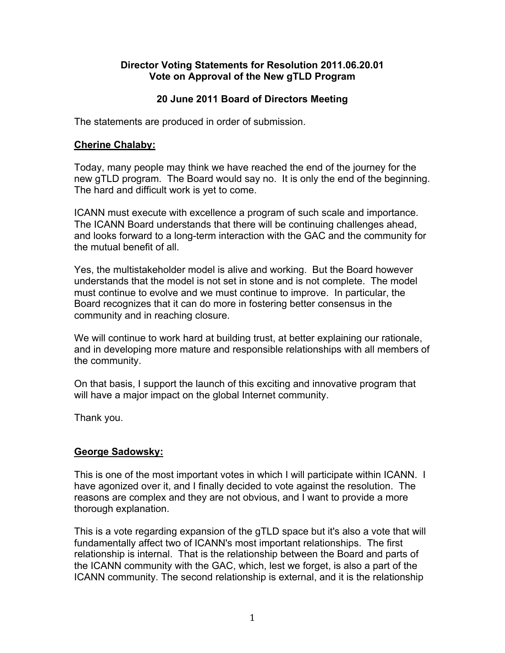#### **Director Voting Statements for Resolution 2011.06.20.01 Vote on Approval of the New gTLD Program**

# **20 June 2011 Board of Directors Meeting**

The statements are produced in order of submission.

#### **Cherine Chalaby:**

Today, many people may think we have reached the end of the journey for the new gTLD program. The Board would say no. It is only the end of the beginning. The hard and difficult work is yet to come.

ICANN must execute with excellence a program of such scale and importance. The ICANN Board understands that there will be continuing challenges ahead, and looks forward to a long-term interaction with the GAC and the community for the mutual benefit of all.

Yes, the multistakeholder model is alive and working. But the Board however understands that the model is not set in stone and is not complete. The model must continue to evolve and we must continue to improve. In particular, the Board recognizes that it can do more in fostering better consensus in the community and in reaching closure.

We will continue to work hard at building trust, at better explaining our rationale, and in developing more mature and responsible relationships with all members of the community.

On that basis, I support the launch of this exciting and innovative program that will have a major impact on the global Internet community.

Thank you.

#### **George Sadowsky:**

This is one of the most important votes in which I will participate within ICANN. I have agonized over it, and I finally decided to vote against the resolution. The reasons are complex and they are not obvious, and I want to provide a more thorough explanation.

This is a vote regarding expansion of the gTLD space but it's also a vote that will fundamentally affect two of ICANN's most important relationships. The first relationship is internal. That is the relationship between the Board and parts of the ICANN community with the GAC, which, lest we forget, is also a part of the ICANN community. The second relationship is external, and it is the relationship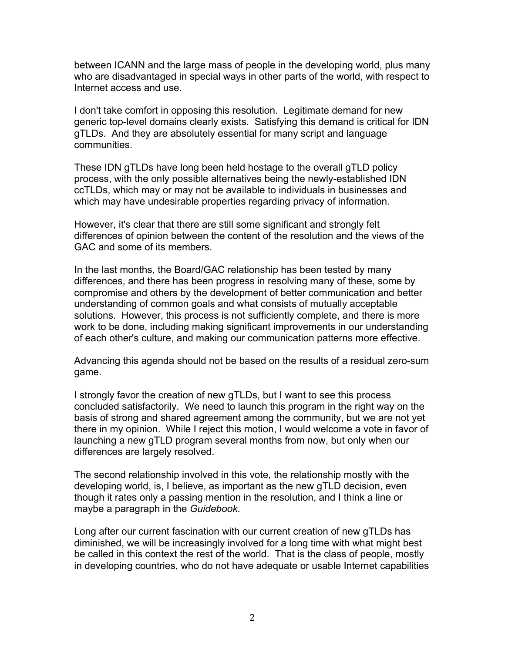between ICANN and the large mass of people in the developing world, plus many who are disadvantaged in special ways in other parts of the world, with respect to Internet access and use.

I don't take comfort in opposing this resolution. Legitimate demand for new generic top-level domains clearly exists. Satisfying this demand is critical for IDN gTLDs. And they are absolutely essential for many script and language communities.

These IDN gTLDs have long been held hostage to the overall gTLD policy process, with the only possible alternatives being the newly-established IDN ccTLDs, which may or may not be available to individuals in businesses and which may have undesirable properties regarding privacy of information.

However, it's clear that there are still some significant and strongly felt differences of opinion between the content of the resolution and the views of the GAC and some of its members.

In the last months, the Board/GAC relationship has been tested by many differences, and there has been progress in resolving many of these, some by compromise and others by the development of better communication and better understanding of common goals and what consists of mutually acceptable solutions. However, this process is not sufficiently complete, and there is more work to be done, including making significant improvements in our understanding of each other's culture, and making our communication patterns more effective.

Advancing this agenda should not be based on the results of a residual zero-sum game.

I strongly favor the creation of new gTLDs, but I want to see this process concluded satisfactorily. We need to launch this program in the right way on the basis of strong and shared agreement among the community, but we are not yet there in my opinion. While I reject this motion, I would welcome a vote in favor of launching a new gTLD program several months from now, but only when our differences are largely resolved.

The second relationship involved in this vote, the relationship mostly with the developing world, is, I believe, as important as the new gTLD decision, even though it rates only a passing mention in the resolution, and I think a line or maybe a paragraph in the *Guidebook*.

Long after our current fascination with our current creation of new gTLDs has diminished, we will be increasingly involved for a long time with what might best be called in this context the rest of the world. That is the class of people, mostly in developing countries, who do not have adequate or usable Internet capabilities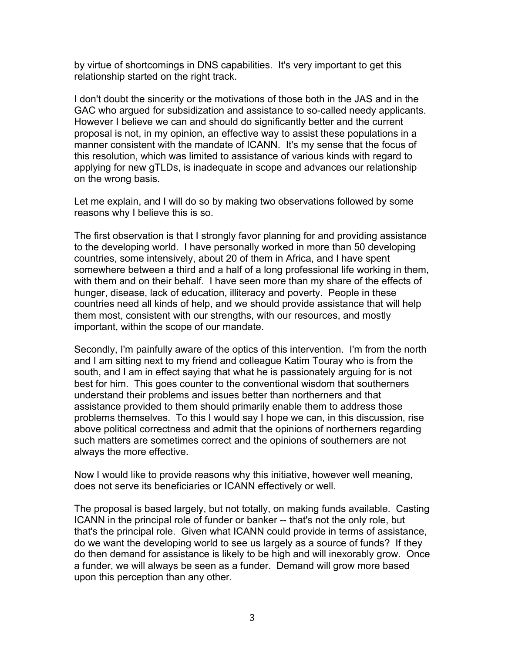by virtue of shortcomings in DNS capabilities. It's very important to get this relationship started on the right track.

I don't doubt the sincerity or the motivations of those both in the JAS and in the GAC who argued for subsidization and assistance to so-called needy applicants. However I believe we can and should do significantly better and the current proposal is not, in my opinion, an effective way to assist these populations in a manner consistent with the mandate of ICANN. It's my sense that the focus of this resolution, which was limited to assistance of various kinds with regard to applying for new gTLDs, is inadequate in scope and advances our relationship on the wrong basis.

Let me explain, and I will do so by making two observations followed by some reasons why I believe this is so.

The first observation is that I strongly favor planning for and providing assistance to the developing world. I have personally worked in more than 50 developing countries, some intensively, about 20 of them in Africa, and I have spent somewhere between a third and a half of a long professional life working in them, with them and on their behalf. I have seen more than my share of the effects of hunger, disease, lack of education, illiteracy and poverty. People in these countries need all kinds of help, and we should provide assistance that will help them most, consistent with our strengths, with our resources, and mostly important, within the scope of our mandate.

Secondly, I'm painfully aware of the optics of this intervention. I'm from the north and I am sitting next to my friend and colleague Katim Touray who is from the south, and I am in effect saying that what he is passionately arguing for is not best for him. This goes counter to the conventional wisdom that southerners understand their problems and issues better than northerners and that assistance provided to them should primarily enable them to address those problems themselves. To this I would say I hope we can, in this discussion, rise above political correctness and admit that the opinions of northerners regarding such matters are sometimes correct and the opinions of southerners are not always the more effective.

Now I would like to provide reasons why this initiative, however well meaning, does not serve its beneficiaries or ICANN effectively or well.

The proposal is based largely, but not totally, on making funds available. Casting ICANN in the principal role of funder or banker -- that's not the only role, but that's the principal role. Given what ICANN could provide in terms of assistance, do we want the developing world to see us largely as a source of funds? If they do then demand for assistance is likely to be high and will inexorably grow. Once a funder, we will always be seen as a funder. Demand will grow more based upon this perception than any other.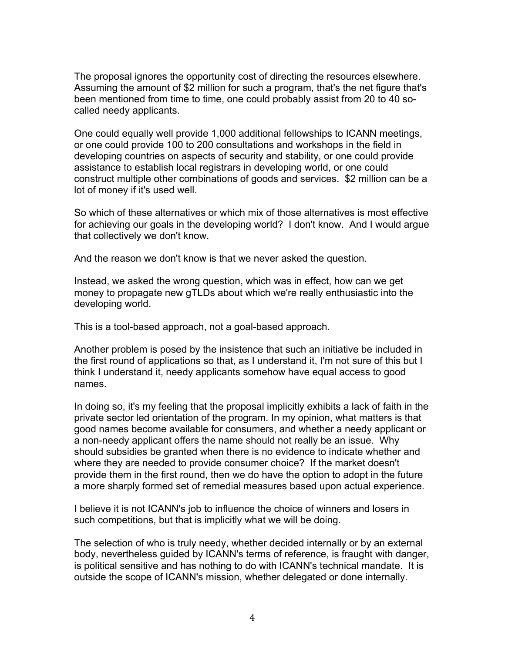The proposal ignores the opportunity cost of directing the resources elsewhere. Assuming the amount of \$2 million for such a program, that's the net figure that's been mentioned from time to time, one could probably assist from 20 to 40 socalled needy applicants.

One could equally well provide 1,000 additional fellowships to ICANN meetings, or one could provide 100 to 200 consultations and workshops in the field in developing countries on aspects of security and stability, or one could provide assistance to establish local registrars in developing world, or one could construct multiple other combinations of goods and services. \$2 million can be a lot of money if it's used well.

So which of these alternatives or which mix of those alternatives is most effective for achieving our goals in the developing world? I don't know. And I would argue that collectively we don't know.

And the reason we don't know is that we never asked the question.

Instead, we asked the wrong question, which was in effect, how can we get money to propagate new gTLDs about which we're really enthusiastic into the developing world.

This is a tool-based approach, not a goal-based approach.

Another problem is posed by the insistence that such an initiative be included in the first round of applications so that, as I understand it, I'm not sure of this but I think I understand it, needy applicants somehow have equal access to good names.

In doing so, it's my feeling that the proposal implicitly exhibits a lack of faith in the private sector led orientation of the program. In my opinion, what matters is that good names become available for consumers, and whether a needy applicant or a non-needy applicant offers the name should not really be an issue. Why should subsidies be granted when there is no evidence to indicate whether and where they are needed to provide consumer choice? If the market doesn't provide them in the first round, then we do have the option to adopt in the future a more sharply formed set of remedial measures based upon actual experience.

I believe it is not ICANN's job to influence the choice of winners and losers in such competitions, but that is implicitly what we will be doing.

The selection of who is truly needy, whether decided internally or by an external body, nevertheless guided by ICANN's terms of reference, is fraught with danger, is political sensitive and has nothing to do with ICANN's technical mandate. It is outside the scope of ICANN's mission, whether delegated or done internally.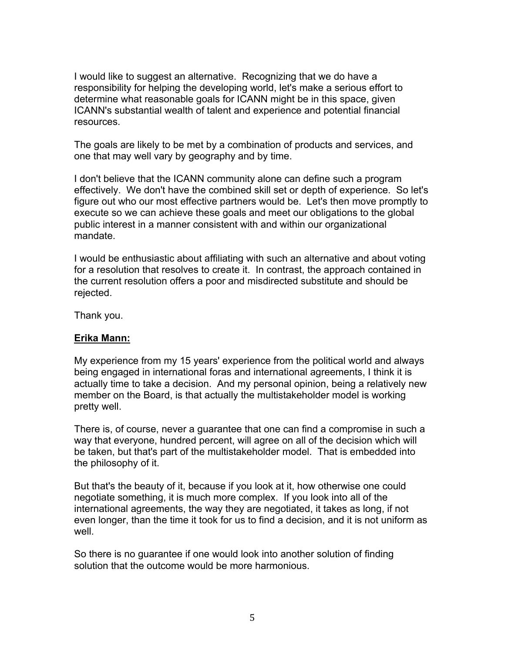I would like to suggest an alternative. Recognizing that we do have a responsibility for helping the developing world, let's make a serious effort to determine what reasonable goals for ICANN might be in this space, given ICANN's substantial wealth of talent and experience and potential financial resources.

The goals are likely to be met by a combination of products and services, and one that may well vary by geography and by time.

I don't believe that the ICANN community alone can define such a program effectively. We don't have the combined skill set or depth of experience. So let's figure out who our most effective partners would be. Let's then move promptly to execute so we can achieve these goals and meet our obligations to the global public interest in a manner consistent with and within our organizational mandate.

I would be enthusiastic about affiliating with such an alternative and about voting for a resolution that resolves to create it. In contrast, the approach contained in the current resolution offers a poor and misdirected substitute and should be rejected.

Thank you.

#### **Erika Mann:**

My experience from my 15 years' experience from the political world and always being engaged in international foras and international agreements, I think it is actually time to take a decision. And my personal opinion, being a relatively new member on the Board, is that actually the multistakeholder model is working pretty well.

There is, of course, never a guarantee that one can find a compromise in such a way that everyone, hundred percent, will agree on all of the decision which will be taken, but that's part of the multistakeholder model. That is embedded into the philosophy of it.

But that's the beauty of it, because if you look at it, how otherwise one could negotiate something, it is much more complex. If you look into all of the international agreements, the way they are negotiated, it takes as long, if not even longer, than the time it took for us to find a decision, and it is not uniform as well.

So there is no guarantee if one would look into another solution of finding solution that the outcome would be more harmonious.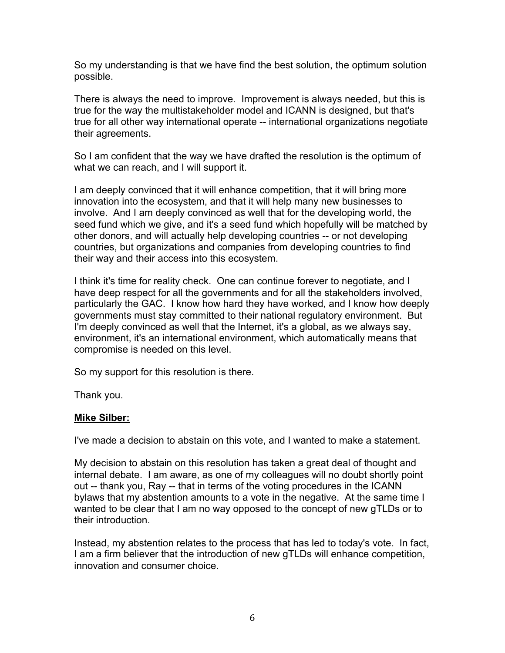So my understanding is that we have find the best solution, the optimum solution possible.

There is always the need to improve. Improvement is always needed, but this is true for the way the multistakeholder model and ICANN is designed, but that's true for all other way international operate -- international organizations negotiate their agreements.

So I am confident that the way we have drafted the resolution is the optimum of what we can reach, and I will support it.

I am deeply convinced that it will enhance competition, that it will bring more innovation into the ecosystem, and that it will help many new businesses to involve. And I am deeply convinced as well that for the developing world, the seed fund which we give, and it's a seed fund which hopefully will be matched by other donors, and will actually help developing countries -- or not developing countries, but organizations and companies from developing countries to find their way and their access into this ecosystem.

I think it's time for reality check. One can continue forever to negotiate, and I have deep respect for all the governments and for all the stakeholders involved, particularly the GAC. I know how hard they have worked, and I know how deeply governments must stay committed to their national regulatory environment. But I'm deeply convinced as well that the Internet, it's a global, as we always say, environment, it's an international environment, which automatically means that compromise is needed on this level.

So my support for this resolution is there.

Thank you.

#### **Mike Silber:**

I've made a decision to abstain on this vote, and I wanted to make a statement.

My decision to abstain on this resolution has taken a great deal of thought and internal debate. I am aware, as one of my colleagues will no doubt shortly point out -- thank you, Ray -- that in terms of the voting procedures in the ICANN bylaws that my abstention amounts to a vote in the negative. At the same time I wanted to be clear that I am no way opposed to the concept of new gTLDs or to their introduction.

Instead, my abstention relates to the process that has led to today's vote. In fact, I am a firm believer that the introduction of new gTLDs will enhance competition, innovation and consumer choice.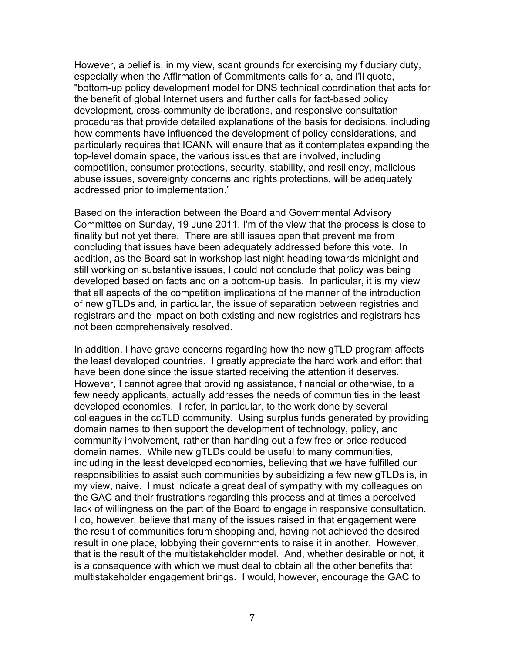However, a belief is, in my view, scant grounds for exercising my fiduciary duty, especially when the Affirmation of Commitments calls for a, and I'll quote, "bottom-up policy development model for DNS technical coordination that acts for the benefit of global Internet users and further calls for fact-based policy development, cross-community deliberations, and responsive consultation procedures that provide detailed explanations of the basis for decisions, including how comments have influenced the development of policy considerations, and particularly requires that ICANN will ensure that as it contemplates expanding the top-level domain space, the various issues that are involved, including competition, consumer protections, security, stability, and resiliency, malicious abuse issues, sovereignty concerns and rights protections, will be adequately addressed prior to implementation."

Based on the interaction between the Board and Governmental Advisory Committee on Sunday, 19 June 2011, I'm of the view that the process is close to finality but not yet there. There are still issues open that prevent me from concluding that issues have been adequately addressed before this vote. In addition, as the Board sat in workshop last night heading towards midnight and still working on substantive issues, I could not conclude that policy was being developed based on facts and on a bottom-up basis. In particular, it is my view that all aspects of the competition implications of the manner of the introduction of new gTLDs and, in particular, the issue of separation between registries and registrars and the impact on both existing and new registries and registrars has not been comprehensively resolved.

In addition, I have grave concerns regarding how the new gTLD program affects the least developed countries. I greatly appreciate the hard work and effort that have been done since the issue started receiving the attention it deserves. However, I cannot agree that providing assistance, financial or otherwise, to a few needy applicants, actually addresses the needs of communities in the least developed economies. I refer, in particular, to the work done by several colleagues in the ccTLD community. Using surplus funds generated by providing domain names to then support the development of technology, policy, and community involvement, rather than handing out a few free or price-reduced domain names. While new gTLDs could be useful to many communities, including in the least developed economies, believing that we have fulfilled our responsibilities to assist such communities by subsidizing a few new gTLDs is, in my view, naive. I must indicate a great deal of sympathy with my colleagues on the GAC and their frustrations regarding this process and at times a perceived lack of willingness on the part of the Board to engage in responsive consultation. I do, however, believe that many of the issues raised in that engagement were the result of communities forum shopping and, having not achieved the desired result in one place, lobbying their governments to raise it in another. However, that is the result of the multistakeholder model. And, whether desirable or not, it is a consequence with which we must deal to obtain all the other benefits that multistakeholder engagement brings. I would, however, encourage the GAC to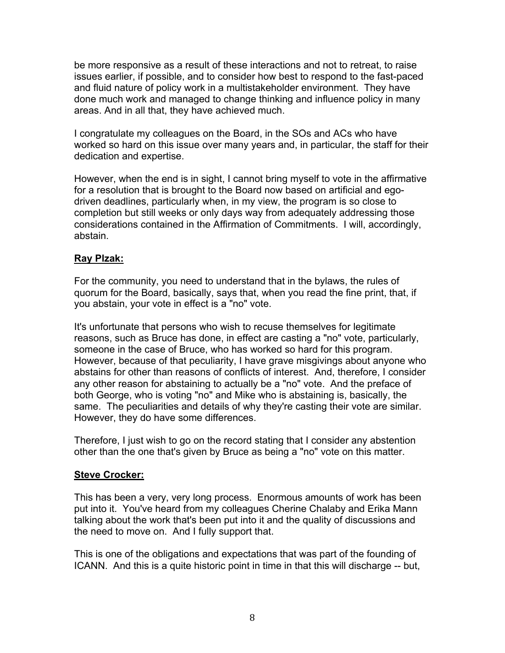be more responsive as a result of these interactions and not to retreat, to raise issues earlier, if possible, and to consider how best to respond to the fast-paced and fluid nature of policy work in a multistakeholder environment. They have done much work and managed to change thinking and influence policy in many areas. And in all that, they have achieved much.

I congratulate my colleagues on the Board, in the SOs and ACs who have worked so hard on this issue over many years and, in particular, the staff for their dedication and expertise.

However, when the end is in sight, I cannot bring myself to vote in the affirmative for a resolution that is brought to the Board now based on artificial and egodriven deadlines, particularly when, in my view, the program is so close to completion but still weeks or only days way from adequately addressing those considerations contained in the Affirmation of Commitments. I will, accordingly, abstain.

# **Ray Plzak:**

For the community, you need to understand that in the bylaws, the rules of quorum for the Board, basically, says that, when you read the fine print, that, if you abstain, your vote in effect is a "no" vote.

It's unfortunate that persons who wish to recuse themselves for legitimate reasons, such as Bruce has done, in effect are casting a "no" vote, particularly, someone in the case of Bruce, who has worked so hard for this program. However, because of that peculiarity, I have grave misgivings about anyone who abstains for other than reasons of conflicts of interest. And, therefore, I consider any other reason for abstaining to actually be a "no" vote. And the preface of both George, who is voting "no" and Mike who is abstaining is, basically, the same. The peculiarities and details of why they're casting their vote are similar. However, they do have some differences.

Therefore, I just wish to go on the record stating that I consider any abstention other than the one that's given by Bruce as being a "no" vote on this matter.

#### **Steve Crocker:**

This has been a very, very long process. Enormous amounts of work has been put into it. You've heard from my colleagues Cherine Chalaby and Erika Mann talking about the work that's been put into it and the quality of discussions and the need to move on. And I fully support that.

This is one of the obligations and expectations that was part of the founding of ICANN. And this is a quite historic point in time in that this will discharge -- but,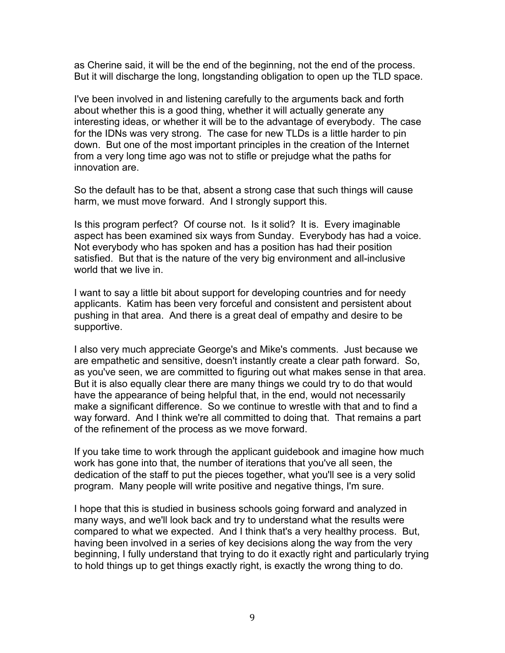as Cherine said, it will be the end of the beginning, not the end of the process. But it will discharge the long, longstanding obligation to open up the TLD space.

I've been involved in and listening carefully to the arguments back and forth about whether this is a good thing, whether it will actually generate any interesting ideas, or whether it will be to the advantage of everybody. The case for the IDNs was very strong. The case for new TLDs is a little harder to pin down. But one of the most important principles in the creation of the Internet from a very long time ago was not to stifle or prejudge what the paths for innovation are.

So the default has to be that, absent a strong case that such things will cause harm, we must move forward. And I strongly support this.

Is this program perfect? Of course not. Is it solid? It is. Every imaginable aspect has been examined six ways from Sunday. Everybody has had a voice. Not everybody who has spoken and has a position has had their position satisfied. But that is the nature of the very big environment and all-inclusive world that we live in.

I want to say a little bit about support for developing countries and for needy applicants. Katim has been very forceful and consistent and persistent about pushing in that area. And there is a great deal of empathy and desire to be supportive.

I also very much appreciate George's and Mike's comments. Just because we are empathetic and sensitive, doesn't instantly create a clear path forward. So, as you've seen, we are committed to figuring out what makes sense in that area. But it is also equally clear there are many things we could try to do that would have the appearance of being helpful that, in the end, would not necessarily make a significant difference. So we continue to wrestle with that and to find a way forward. And I think we're all committed to doing that. That remains a part of the refinement of the process as we move forward.

If you take time to work through the applicant guidebook and imagine how much work has gone into that, the number of iterations that you've all seen, the dedication of the staff to put the pieces together, what you'll see is a very solid program. Many people will write positive and negative things, I'm sure.

I hope that this is studied in business schools going forward and analyzed in many ways, and we'll look back and try to understand what the results were compared to what we expected. And I think that's a very healthy process. But, having been involved in a series of key decisions along the way from the very beginning, I fully understand that trying to do it exactly right and particularly trying to hold things up to get things exactly right, is exactly the wrong thing to do.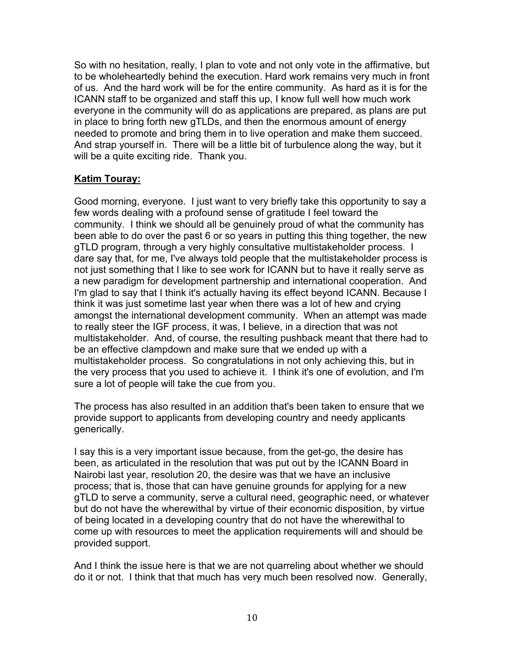So with no hesitation, really, I plan to vote and not only vote in the affirmative, but to be wholeheartedly behind the execution. Hard work remains very much in front of us. And the hard work will be for the entire community. As hard as it is for the ICANN staff to be organized and staff this up, I know full well how much work everyone in the community will do as applications are prepared, as plans are put in place to bring forth new gTLDs, and then the enormous amount of energy needed to promote and bring them in to live operation and make them succeed. And strap yourself in. There will be a little bit of turbulence along the way, but it will be a quite exciting ride. Thank you.

# **Katim Touray:**

Good morning, everyone. I just want to very briefly take this opportunity to say a few words dealing with a profound sense of gratitude I feel toward the community. I think we should all be genuinely proud of what the community has been able to do over the past 6 or so years in putting this thing together, the new gTLD program, through a very highly consultative multistakeholder process. I dare say that, for me, I've always told people that the multistakeholder process is not just something that I like to see work for ICANN but to have it really serve as a new paradigm for development partnership and international cooperation. And I'm glad to say that I think it's actually having its effect beyond ICANN. Because I think it was just sometime last year when there was a lot of hew and crying amongst the international development community. When an attempt was made to really steer the IGF process, it was, I believe, in a direction that was not multistakeholder. And, of course, the resulting pushback meant that there had to be an effective clampdown and make sure that we ended up with a multistakeholder process. So congratulations in not only achieving this, but in the very process that you used to achieve it. I think it's one of evolution, and I'm sure a lot of people will take the cue from you.

The process has also resulted in an addition that's been taken to ensure that we provide support to applicants from developing country and needy applicants generically.

I say this is a very important issue because, from the get-go, the desire has been, as articulated in the resolution that was put out by the ICANN Board in Nairobi last year, resolution 20, the desire was that we have an inclusive process; that is, those that can have genuine grounds for applying for a new gTLD to serve a community, serve a cultural need, geographic need, or whatever but do not have the wherewithal by virtue of their economic disposition, by virtue of being located in a developing country that do not have the wherewithal to come up with resources to meet the application requirements will and should be provided support.

And I think the issue here is that we are not quarreling about whether we should do it or not. I think that that much has very much been resolved now. Generally,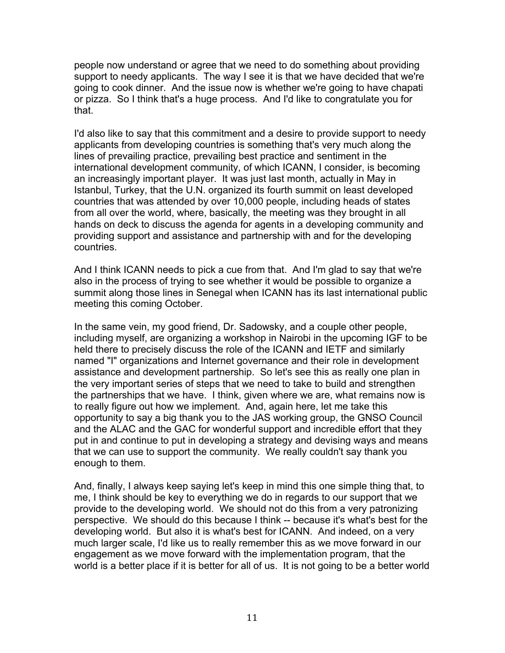people now understand or agree that we need to do something about providing support to needy applicants. The way I see it is that we have decided that we're going to cook dinner. And the issue now is whether we're going to have chapati or pizza. So I think that's a huge process. And I'd like to congratulate you for that.

I'd also like to say that this commitment and a desire to provide support to needy applicants from developing countries is something that's very much along the lines of prevailing practice, prevailing best practice and sentiment in the international development community, of which ICANN, I consider, is becoming an increasingly important player. It was just last month, actually in May in Istanbul, Turkey, that the U.N. organized its fourth summit on least developed countries that was attended by over 10,000 people, including heads of states from all over the world, where, basically, the meeting was they brought in all hands on deck to discuss the agenda for agents in a developing community and providing support and assistance and partnership with and for the developing countries.

And I think ICANN needs to pick a cue from that. And I'm glad to say that we're also in the process of trying to see whether it would be possible to organize a summit along those lines in Senegal when ICANN has its last international public meeting this coming October.

In the same vein, my good friend, Dr. Sadowsky, and a couple other people, including myself, are organizing a workshop in Nairobi in the upcoming IGF to be held there to precisely discuss the role of the ICANN and IETF and similarly named "I" organizations and Internet governance and their role in development assistance and development partnership. So let's see this as really one plan in the very important series of steps that we need to take to build and strengthen the partnerships that we have. I think, given where we are, what remains now is to really figure out how we implement. And, again here, let me take this opportunity to say a big thank you to the JAS working group, the GNSO Council and the ALAC and the GAC for wonderful support and incredible effort that they put in and continue to put in developing a strategy and devising ways and means that we can use to support the community. We really couldn't say thank you enough to them.

And, finally, I always keep saying let's keep in mind this one simple thing that, to me, I think should be key to everything we do in regards to our support that we provide to the developing world. We should not do this from a very patronizing perspective. We should do this because I think -- because it's what's best for the developing world. But also it is what's best for ICANN. And indeed, on a very much larger scale, I'd like us to really remember this as we move forward in our engagement as we move forward with the implementation program, that the world is a better place if it is better for all of us. It is not going to be a better world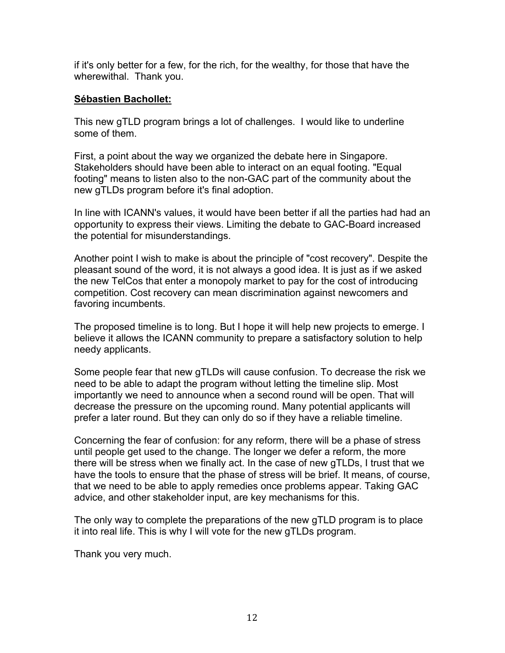if it's only better for a few, for the rich, for the wealthy, for those that have the wherewithal. Thank you.

### **Sébastien Bachollet:**

This new gTLD program brings a lot of challenges. I would like to underline some of them.

First, a point about the way we organized the debate here in Singapore. Stakeholders should have been able to interact on an equal footing. "Equal footing" means to listen also to the non-GAC part of the community about the new gTLDs program before it's final adoption.

In line with ICANN's values, it would have been better if all the parties had had an opportunity to express their views. Limiting the debate to GAC-Board increased the potential for misunderstandings.

Another point I wish to make is about the principle of "cost recovery". Despite the pleasant sound of the word, it is not always a good idea. It is just as if we asked the new TelCos that enter a monopoly market to pay for the cost of introducing competition. Cost recovery can mean discrimination against newcomers and favoring incumbents.

The proposed timeline is to long. But I hope it will help new projects to emerge. I believe it allows the ICANN community to prepare a satisfactory solution to help needy applicants.

Some people fear that new gTLDs will cause confusion. To decrease the risk we need to be able to adapt the program without letting the timeline slip. Most importantly we need to announce when a second round will be open. That will decrease the pressure on the upcoming round. Many potential applicants will prefer a later round. But they can only do so if they have a reliable timeline.

Concerning the fear of confusion: for any reform, there will be a phase of stress until people get used to the change. The longer we defer a reform, the more there will be stress when we finally act. In the case of new gTLDs, I trust that we have the tools to ensure that the phase of stress will be brief. It means, of course, that we need to be able to apply remedies once problems appear. Taking GAC advice, and other stakeholder input, are key mechanisms for this.

The only way to complete the preparations of the new gTLD program is to place it into real life. This is why I will vote for the new gTLDs program.

Thank you very much.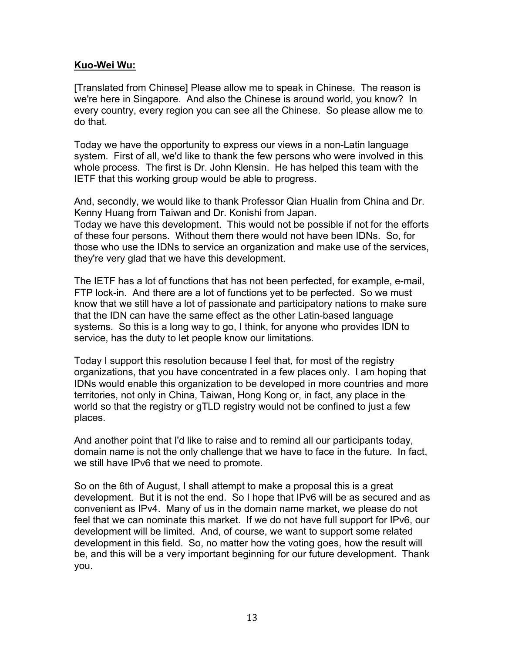#### **Kuo-Wei Wu:**

[Translated from Chinese] Please allow me to speak in Chinese. The reason is we're here in Singapore. And also the Chinese is around world, you know? In every country, every region you can see all the Chinese. So please allow me to do that.

Today we have the opportunity to express our views in a non-Latin language system. First of all, we'd like to thank the few persons who were involved in this whole process. The first is Dr. John Klensin. He has helped this team with the IETF that this working group would be able to progress.

And, secondly, we would like to thank Professor Qian Hualin from China and Dr. Kenny Huang from Taiwan and Dr. Konishi from Japan.

Today we have this development. This would not be possible if not for the efforts of these four persons. Without them there would not have been IDNs. So, for those who use the IDNs to service an organization and make use of the services, they're very glad that we have this development.

The IETF has a lot of functions that has not been perfected, for example, e-mail, FTP lock-in. And there are a lot of functions yet to be perfected. So we must know that we still have a lot of passionate and participatory nations to make sure that the IDN can have the same effect as the other Latin-based language systems. So this is a long way to go, I think, for anyone who provides IDN to service, has the duty to let people know our limitations.

Today I support this resolution because I feel that, for most of the registry organizations, that you have concentrated in a few places only. I am hoping that IDNs would enable this organization to be developed in more countries and more territories, not only in China, Taiwan, Hong Kong or, in fact, any place in the world so that the registry or gTLD registry would not be confined to just a few places.

And another point that I'd like to raise and to remind all our participants today, domain name is not the only challenge that we have to face in the future. In fact, we still have IPv6 that we need to promote.

So on the 6th of August, I shall attempt to make a proposal this is a great development. But it is not the end. So I hope that IPv6 will be as secured and as convenient as IPv4. Many of us in the domain name market, we please do not feel that we can nominate this market. If we do not have full support for IPv6, our development will be limited. And, of course, we want to support some related development in this field. So, no matter how the voting goes, how the result will be, and this will be a very important beginning for our future development. Thank you.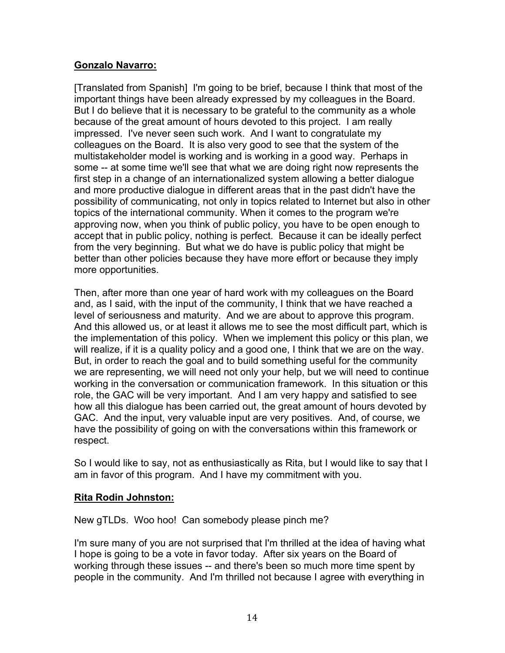# **Gonzalo Navarro:**

[Translated from Spanish] I'm going to be brief, because I think that most of the important things have been already expressed by my colleagues in the Board. But I do believe that it is necessary to be grateful to the community as a whole because of the great amount of hours devoted to this project. I am really impressed. I've never seen such work. And I want to congratulate my colleagues on the Board. It is also very good to see that the system of the multistakeholder model is working and is working in a good way. Perhaps in some -- at some time we'll see that what we are doing right now represents the first step in a change of an internationalized system allowing a better dialogue and more productive dialogue in different areas that in the past didn't have the possibility of communicating, not only in topics related to Internet but also in other topics of the international community. When it comes to the program we're approving now, when you think of public policy, you have to be open enough to accept that in public policy, nothing is perfect. Because it can be ideally perfect from the very beginning. But what we do have is public policy that might be better than other policies because they have more effort or because they imply more opportunities.

Then, after more than one year of hard work with my colleagues on the Board and, as I said, with the input of the community, I think that we have reached a level of seriousness and maturity. And we are about to approve this program. And this allowed us, or at least it allows me to see the most difficult part, which is the implementation of this policy. When we implement this policy or this plan, we will realize, if it is a quality policy and a good one, I think that we are on the way. But, in order to reach the goal and to build something useful for the community we are representing, we will need not only your help, but we will need to continue working in the conversation or communication framework. In this situation or this role, the GAC will be very important. And I am very happy and satisfied to see how all this dialogue has been carried out, the great amount of hours devoted by GAC. And the input, very valuable input are very positives. And, of course, we have the possibility of going on with the conversations within this framework or respect.

So I would like to say, not as enthusiastically as Rita, but I would like to say that I am in favor of this program. And I have my commitment with you.

#### **Rita Rodin Johnston:**

#### New gTLDs. Woo hoo! Can somebody please pinch me?

I'm sure many of you are not surprised that I'm thrilled at the idea of having what I hope is going to be a vote in favor today. After six years on the Board of working through these issues -- and there's been so much more time spent by people in the community. And I'm thrilled not because I agree with everything in